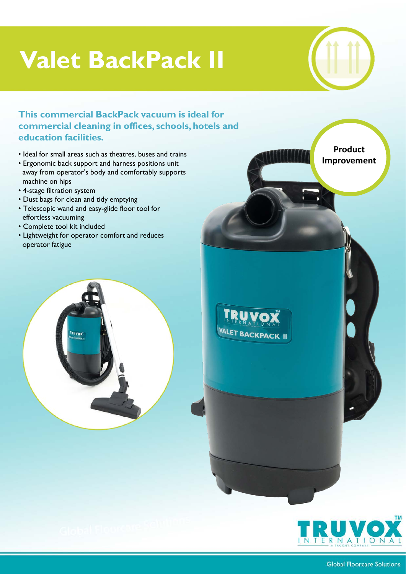## **Valet BackPack II**



## **This commercial BackPack vacuum is ideal for commercial cleaning in offices, schools, hotels and education facilities.**

- Ideal for small areas such as theatres, buses and trains
- Ergonomic back support and harness positions unit away from operator's body and comfortably supports machine on hips
- 4-stage filtration system
- Dust bags for clean and tidy emptying
- Telescopic wand and easy-glide floor tool for effortless vacuuming
- Complete tool kit included
- Lightweight for operator comfort and reduces operator fatigue





**Product Improvement**